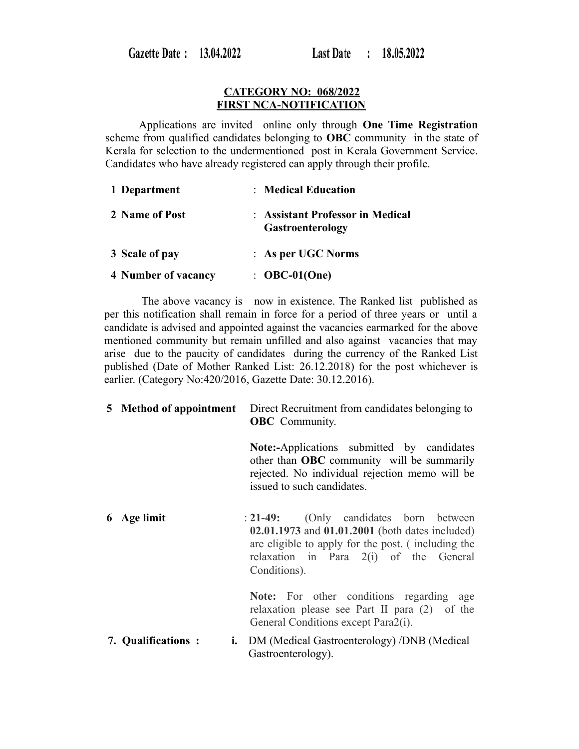### **CATEGORY NO: 068/2022 FIRST NCA-NOTIFICATION**

 Applications are invited online only through **One Time Registration** scheme from qualified candidates belonging to **OBC** community in the state of Kerala for selection to the undermentioned post in Kerala Government Service. Candidates who have already registered can apply through their profile.

| 1 Department        | : Medical Education                                         |
|---------------------|-------------------------------------------------------------|
| 2 Name of Post      | : Assistant Professor in Medical<br><b>Gastroenterology</b> |
| 3 Scale of pay      | $\therefore$ As per UGC Norms                               |
| 4 Number of vacancy | $\therefore$ OBC-01(One)                                    |

 The above vacancy is now in existence. The Ranked list published as per this notification shall remain in force for a period of three years or until a candidate is advised and appointed against the vacancies earmarked for the above mentioned community but remain unfilled and also against vacancies that may arise due to the paucity of candidates during the currency of the Ranked List published (Date of Mother Ranked List: 26.12.2018) for the post whichever is earlier. (Category No:420/2016, Gazette Date: 30.12.2016).

| 5 Method of appointment  | Direct Recruitment from candidates belonging to<br><b>OBC</b> Community.                                                                                                                                  |
|--------------------------|-----------------------------------------------------------------------------------------------------------------------------------------------------------------------------------------------------------|
|                          | <b>Note:-Applications</b> submitted by candidates<br>other than <b>OBC</b> community will be summarily<br>rejected. No individual rejection memo will be<br>issued to such candidates.                    |
| 6 Age limit              | : 21-49: (Only candidates born between<br>02.01.1973 and 01.01.2001 (both dates included)<br>are eligible to apply for the post. (including the<br>relaxation in Para 2(i) of the General<br>Conditions). |
|                          | Note: For other conditions regarding age<br>relaxation please see Part II para (2) of the<br>General Conditions except Para2(i).                                                                          |
| 7. Qualifications:<br>i. | DM (Medical Gastroenterology) /DNB (Medical<br>Gastroenterology).                                                                                                                                         |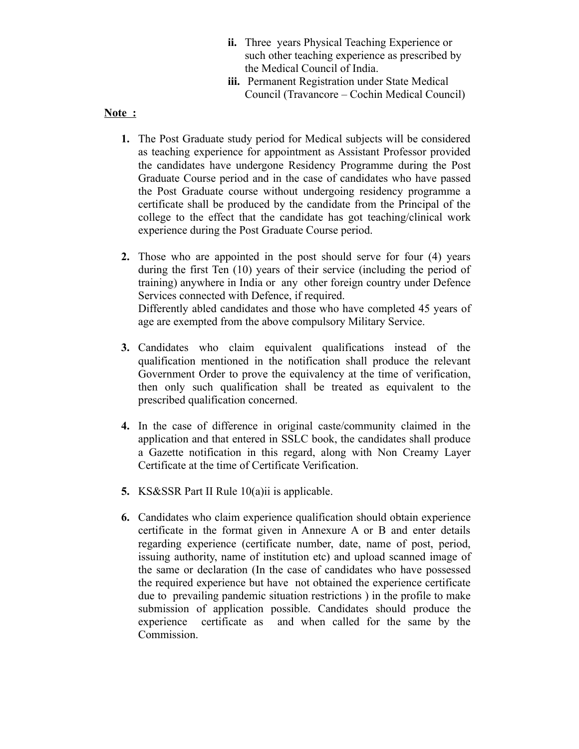- **ii.** Three years Physical Teaching Experience or such other teaching experience as prescribed by the Medical Council of India.
- **iii.** Permanent Registration under State Medical Council (Travancore – Cochin Medical Council)

# **Note :**

- **1.** The Post Graduate study period for Medical subjects will be considered as teaching experience for appointment as Assistant Professor provided the candidates have undergone Residency Programme during the Post Graduate Course period and in the case of candidates who have passed the Post Graduate course without undergoing residency programme a certificate shall be produced by the candidate from the Principal of the college to the effect that the candidate has got teaching/clinical work experience during the Post Graduate Course period.
- **2.** Those who are appointed in the post should serve for four (4) years during the first Ten (10) years of their service (including the period of training) anywhere in India or any other foreign country under Defence Services connected with Defence, if required. Differently abled candidates and those who have completed 45 years of age are exempted from the above compulsory Military Service.
- **3.** Candidates who claim equivalent qualifications instead of the qualification mentioned in the notification shall produce the relevant Government Order to prove the equivalency at the time of verification, then only such qualification shall be treated as equivalent to the prescribed qualification concerned.
- **4.** In the case of difference in original caste/community claimed in the application and that entered in SSLC book, the candidates shall produce a Gazette notification in this regard, along with Non Creamy Layer Certificate at the time of Certificate Verification.
- **5.** KS&SSR Part II Rule 10(a)ii is applicable.
- **6.** Candidates who claim experience qualification should obtain experience certificate in the format given in Annexure A or B and enter details regarding experience (certificate number, date, name of post, period, issuing authority, name of institution etc) and upload scanned image of the same or declaration (In the case of candidates who have possessed the required experience but have not obtained the experience certificate due to prevailing pandemic situation restrictions ) in the profile to make submission of application possible. Candidates should produce the experience certificate as and when called for the same by the Commission.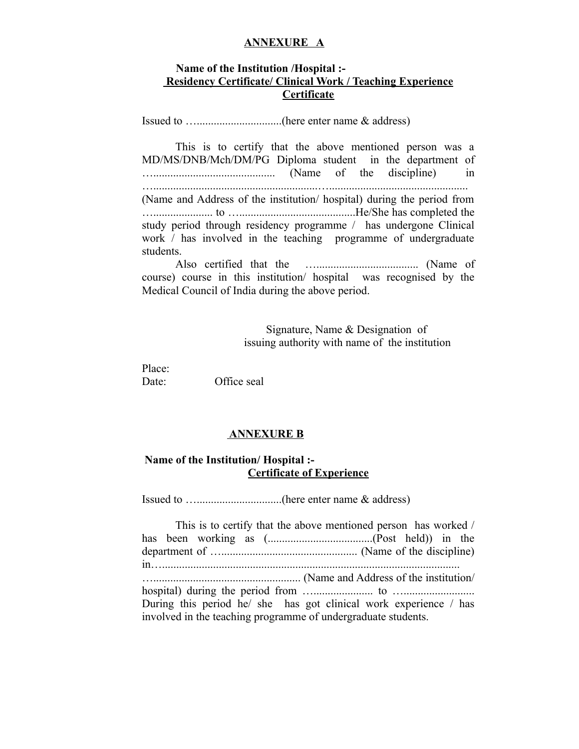#### **ANNEXURE A**

# **Name of the Institution /Hospital :- Residency Certificate/ Clinical Work / Teaching Experience Certificate**

Issued to …..............................(here enter name & address)

This is to certify that the above mentioned person was a MD/MS/DNB/Mch/DM/PG Diploma student in the department of …........................................... (Name of the discipline) in …..........................................................…................................................. (Name and Address of the institution/ hospital) during the period from …..................... to ….........................................He/She has completed the study period through residency programme / has undergone Clinical work / has involved in the teaching programme of undergraduate students.

Also certified that the ….................................... (Name of course) course in this institution/ hospital was recognised by the Medical Council of India during the above period.

> Signature, Name & Designation of issuing authority with name of the institution

Place: Date: Office seal

## **ANNEXURE B**

# **Name of the Institution/ Hospital :- Certificate of Experience**

Issued to …..............................(here enter name & address)

|                                                                   | This is to certify that the above mentioned person has worked / |
|-------------------------------------------------------------------|-----------------------------------------------------------------|
|                                                                   |                                                                 |
|                                                                   |                                                                 |
|                                                                   |                                                                 |
|                                                                   |                                                                 |
|                                                                   |                                                                 |
| During this period he/ she has got clinical work experience / has |                                                                 |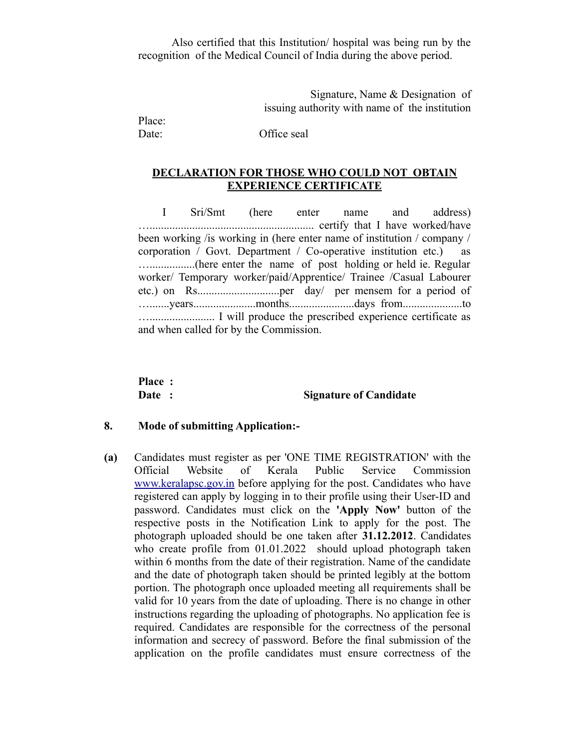Also certified that this Institution/ hospital was being run by the recognition of the Medical Council of India during the above period.

> Signature, Name & Designation of issuing authority with name of the institution

Place:

Date: Office seal

## **DECLARATION FOR THOSE WHO COULD NOT OBTAIN EXPERIENCE CERTIFICATE**

 I Sri/Smt (here enter name and address) ….......................................................... certify that I have worked/have been working /is working in (here enter name of institution / company / corporation / Govt. Department / Co-operative institution etc.) as …................(here enter the name of post holding or held ie. Regular worker/ Temporary worker/paid/Apprentice/ Trainee /Casual Labourer etc.) on Rs.............................per day/ per mensem for a period of ….......years......................months.......................days from.....................to …....................... I will produce the prescribed experience certificate as and when called for by the Commission.

**Place :** 

#### **Date :** Signature of Candidate

#### **8. Mode of submitting Application:-**

**(a)** Candidates must register as per 'ONE TIME REGISTRATION' with the Official Website of Kerala Public Service Commission [www.keralapsc.gov.in](http://www.kerealapsc.gov.in/) before applying for the post. Candidates who have registered can apply by logging in to their profile using their User-ID and password. Candidates must click on the **'Apply Now'** button of the respective posts in the Notification Link to apply for the post. The photograph uploaded should be one taken after **31.12.2012**. Candidates who create profile from 01.01.2022 should upload photograph taken within 6 months from the date of their registration. Name of the candidate and the date of photograph taken should be printed legibly at the bottom portion. The photograph once uploaded meeting all requirements shall be valid for 10 years from the date of uploading. There is no change in other instructions regarding the uploading of photographs. No application fee is required. Candidates are responsible for the correctness of the personal information and secrecy of password. Before the final submission of the application on the profile candidates must ensure correctness of the